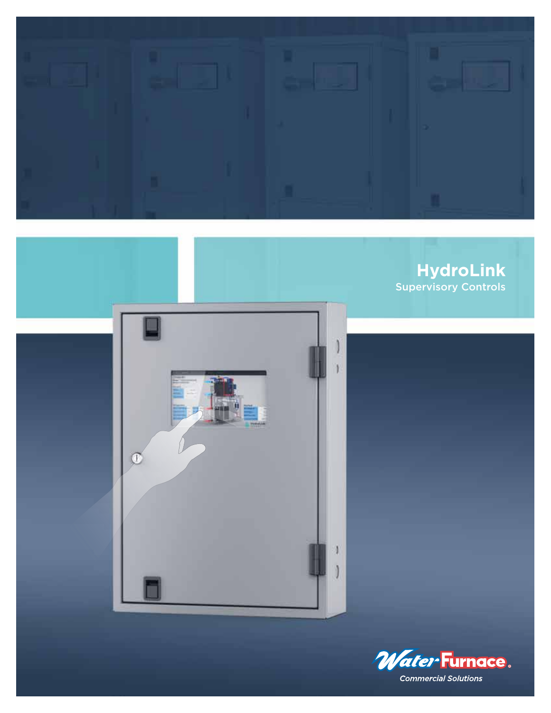

## **HydroLink** Supervisory Controls